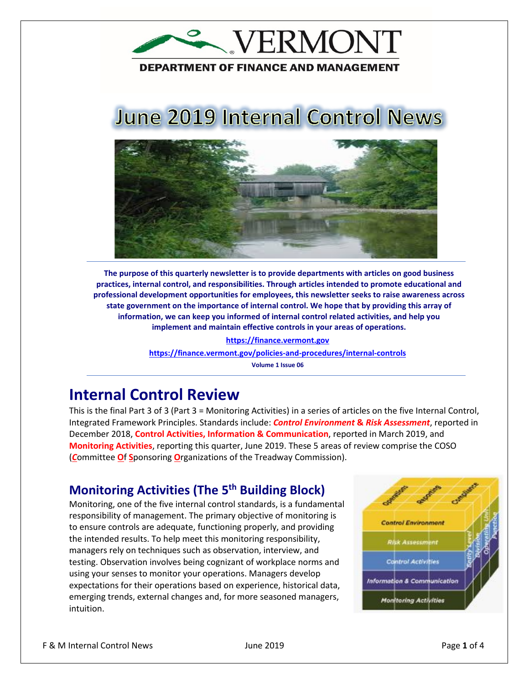

### **DEPARTMENT OF FINANCE AND MANAGEMENT**

# June 2019 Internal Control News



**The purpose of this quarterly newsletter is to provide departments with articles on good business practices, internal control, and responsibilities. Through articles intended to promote educational and professional development opportunities for employees, this newsletter seeks to raise awareness across state government on the importance of internal control. We hope that by providing this array of information, we can keep you informed of internal control related activities, and help you implement and maintain effective controls in your areas of operations.**

> **https://finance.vermont.gov <https://finance.vermont.gov/policies-and-procedures/internal-controls> Volume 1 Issue 06**

# **Internal Control Review**

This is the final Part 3 of 3 (Part 3 = Monitoring Activities) in a series of articles on the five Internal Control, Integrated Framework Principles. Standards include: *Control Environment* **&** *Risk Assessment*, reported in December 2018, **Control Activities, Information & Communication**, reported in March 2019, and **Monitoring Activities**, reporting this quarter, June 2019. These 5 areas of review comprise the COSO (*C*ommittee **O**f **S**ponsoring **O**rganizations of the Treadway Commission).

# **Monitoring Activities (The 5th Building Block)**

Monitoring, one of the five internal control standards, is a fundamental responsibility of management. The primary objective of monitoring is to ensure controls are adequate, functioning properly, and providing the intended results. To help meet this monitoring responsibility, managers rely on techniques such as observation, interview, and testing. Observation involves being cognizant of workplace norms and using your senses to monitor your operations. Managers develop expectations for their operations based on experience, historical data, emerging trends, external changes and, for more seasoned managers, intuition.

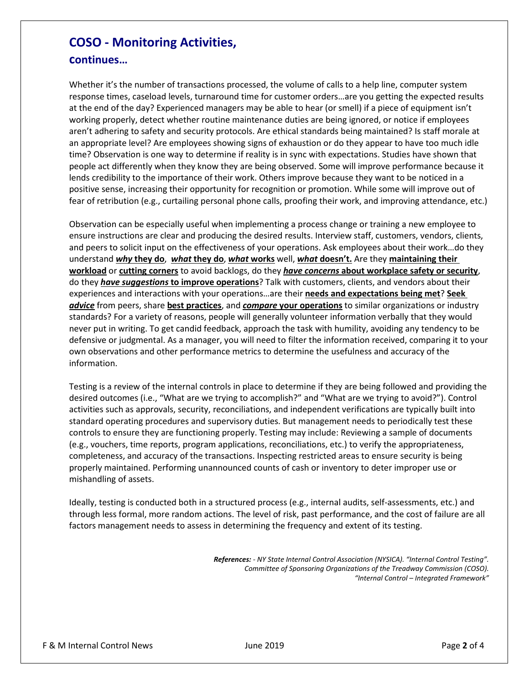# **COSO - Monitoring Activities,**

### **continues…**

Whether it's the number of transactions processed, the volume of calls to a help line, computer system response times, caseload levels, turnaround time for customer orders…are you getting the expected results at the end of the day? Experienced managers may be able to hear (or smell) if a piece of equipment isn't working properly, detect whether routine maintenance duties are being ignored, or notice if employees aren't adhering to safety and security protocols. Are ethical standards being maintained? Is staff morale at an appropriate level? Are employees showing signs of exhaustion or do they appear to have too much idle time? Observation is one way to determine if reality is in sync with expectations. Studies have shown that people act differently when they know they are being observed. Some will improve performance because it lends credibility to the importance of their work. Others improve because they want to be noticed in a positive sense, increasing their opportunity for recognition or promotion. While some will improve out of fear of retribution (e.g., curtailing personal phone calls, proofing their work, and improving attendance, etc.)

Observation can be especially useful when implementing a process change or training a new employee to ensure instructions are clear and producing the desired results. Interview staff, customers, vendors, clients, and peers to solicit input on the effectiveness of your operations. Ask employees about their work…do they understand *why* **they do**, *what* **they do**, *what* **works** well, *what* **doesn't.** Are they **maintaining their workload** or **cutting corners** to avoid backlogs, do they *have concerns* **about workplace safety or security**, do they *have suggestions* **to improve operations**? Talk with customers, clients, and vendors about their experiences and interactions with your operations…are their **needs and expectations being met**? **Seek**  *advice* from peers, share **best practices**, and *compare* **your operations** to similar organizations or industry standards? For a variety of reasons, people will generally volunteer information verbally that they would never put in writing. To get candid feedback, approach the task with humility, avoiding any tendency to be defensive or judgmental. As a manager, you will need to filter the information received, comparing it to your own observations and other performance metrics to determine the usefulness and accuracy of the information.

Testing is a review of the internal controls in place to determine if they are being followed and providing the desired outcomes (i.e., "What are we trying to accomplish?" and "What are we trying to avoid?"). Control activities such as approvals, security, reconciliations, and independent verifications are typically built into standard operating procedures and supervisory duties. But management needs to periodically test these controls to ensure they are functioning properly. Testing may include: Reviewing a sample of documents (e.g., vouchers, time reports, program applications, reconciliations, etc.) to verify the appropriateness, completeness, and accuracy of the transactions. Inspecting restricted areas to ensure security is being properly maintained. Performing unannounced counts of cash or inventory to deter improper use or mishandling of assets.

Ideally, testing is conducted both in a structured process (e.g., internal audits, self-assessments, etc.) and through less formal, more random actions. The level of risk, past performance, and the cost of failure are all factors management needs to assess in determining the frequency and extent of its testing.

> *References: - NY State Internal Control Association (NYSICA). "Internal Control Testing". Committee of Sponsoring Organizations of the Treadway Commission (COSO). "Internal Control – Integrated Framework"*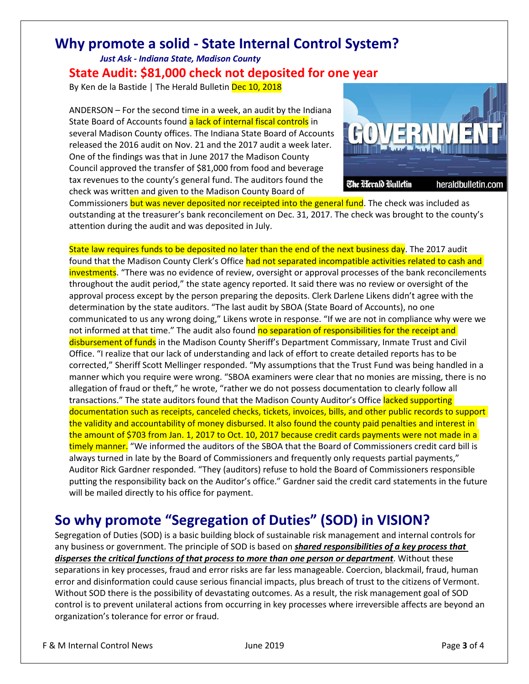# **Why promote a solid - State Internal Control System?**

*Just Ask - Indiana State, Madison County* **State Audit: \$81,000 check not deposited for one year**

By Ken de la Bastide | The Herald Bulletin Dec 10, 2018

ANDERSON – For the second time in a week, an audit by the Indiana State Board of Accounts found a lack of internal fiscal controls in several Madison County offices. The Indiana State Board of Accounts released the 2016 audit on Nov. 21 and the 2017 audit a week later. One of the findings was that in June 2017 the Madison County Council approved the transfer of \$81,000 from food and beverage tax revenues to the county's general fund. The auditors found the check was written and given to the Madison County Board of



Commissioners but was never deposited nor receipted into the general fund. The check was included as outstanding at the treasurer's bank reconcilement on Dec. 31, 2017. The check was brought to the county's attention during the audit and was deposited in July.

State law requires funds to be deposited no later than the end of the next business day. The 2017 audit found that the Madison County Clerk's Office had not separated incompatible activities related to cash and investments. "There was no evidence of review, oversight or approval processes of the bank reconcilements throughout the audit period," the state agency reported. It said there was no review or oversight of the approval process except by the person preparing the deposits. Clerk Darlene Likens didn't agree with the determination by the state auditors. "The last audit by SBOA (State Board of Accounts), no one communicated to us any wrong doing," Likens wrote in response. "If we are not in compliance why were we not informed at that time." The audit also found no separation of responsibilities for the receipt and disbursement of funds in the Madison County Sheriff's Department Commissary, Inmate Trust and Civil Office. "I realize that our lack of understanding and lack of effort to create detailed reports has to be corrected," Sheriff Scott Mellinger responded. "My assumptions that the Trust Fund was being handled in a manner which you require were wrong. "SBOA examiners were clear that no monies are missing, there is no allegation of fraud or theft," he wrote, "rather we do not possess documentation to clearly follow all transactions." The state auditors found that the Madison County Auditor's Office lacked supporting documentation such as receipts, canceled checks, tickets, invoices, bills, and other public records to support the validity and accountability of money disbursed. It also found the county paid penalties and interest in the amount of \$703 from Jan. 1, 2017 to Oct. 10, 2017 because credit cards payments were not made in a timely manner. "We informed the auditors of the SBOA that the Board of Commissioners credit card bill is always turned in late by the Board of Commissioners and frequently only requests partial payments," Auditor Rick Gardner responded. "They (auditors) refuse to hold the Board of Commissioners responsible putting the responsibility back on the Auditor's office." Gardner said the credit card statements in the future will be mailed directly to his office for payment.

# **So why promote "Segregation of Duties" (SOD) in VISION?**

Segregation of Duties (SOD) is a basic building block of sustainable risk management and internal controls for any business or government. The principle of SOD is based on *shared responsibilities of a key process that disperses the critical functions of that process to more than one person or department*. Without these separations in key processes, fraud and error risks are far less manageable. Coercion, blackmail, fraud, human error and disinformation could cause serious financial impacts, plus breach of trust to the citizens of Vermont. Without SOD there is the possibility of devastating outcomes. As a result, the risk management goal of SOD control is to prevent unilateral actions from occurring in key processes where irreversible affects are beyond an organization's tolerance for error or fraud.